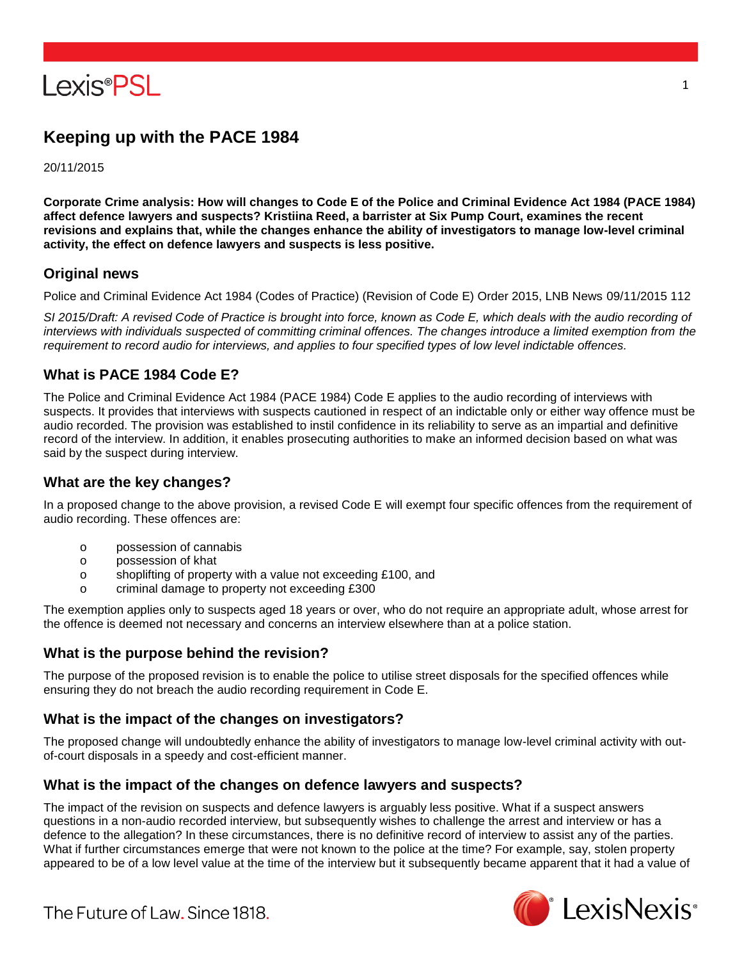

# **Keeping up with the PACE 1984**

20/11/2015

**Corporate Crime analysis: How will changes to Code E of the Police and Criminal Evidence Act 1984 (PACE 1984) affect defence lawyers and suspects? Kristiina Reed, a barrister at Six Pump Court, examines the recent revisions and explains that, while the changes enhance the ability of investigators to manage low-level criminal activity, the effect on defence lawyers and suspects is less positive.**

## **Original news**

Police and Criminal Evidence Act 1984 (Codes of Practice) (Revision of Code E) Order 2015, LNB News 09/11/2015 112

*SI 2015/Draft: A revised Code of Practice is brought into force, known as Code E, which deals with the audio recording of interviews with individuals suspected of committing criminal offences. The changes introduce a limited exemption from the requirement to record audio for interviews, and applies to four specified types of low level indictable offences.*

## **What is PACE 1984 Code E?**

The Police and Criminal Evidence Act 1984 (PACE 1984) Code E applies to the audio recording of interviews with suspects. It provides that interviews with suspects cautioned in respect of an indictable only or either way offence must be audio recorded. The provision was established to instil confidence in its reliability to serve as an impartial and definitive record of the interview. In addition, it enables prosecuting authorities to make an informed decision based on what was said by the suspect during interview.

#### **What are the key changes?**

In a proposed change to the above provision, a revised Code E will exempt four specific offences from the requirement of audio recording. These offences are:

- o possession of cannabis
- o possession of khat
- o shoplifting of property with a value not exceeding £100, and
- o criminal damage to property not exceeding £300

The exemption applies only to suspects aged 18 years or over, who do not require an appropriate adult, whose arrest for the offence is deemed not necessary and concerns an interview elsewhere than at a police station.

## **What is the purpose behind the revision?**

The purpose of the proposed revision is to enable the police to utilise street disposals for the specified offences while ensuring they do not breach the audio recording requirement in Code E.

## **What is the impact of the changes on investigators?**

The proposed change will undoubtedly enhance the ability of investigators to manage low-level criminal activity with outof-court disposals in a speedy and cost-efficient manner.

## **What is the impact of the changes on defence lawyers and suspects?**

The impact of the revision on suspects and defence lawyers is arguably less positive. What if a suspect answers questions in a non-audio recorded interview, but subsequently wishes to challenge the arrest and interview or has a defence to the allegation? In these circumstances, there is no definitive record of interview to assist any of the parties. What if further circumstances emerge that were not known to the police at the time? For example, say, stolen property appeared to be of a low level value at the time of the interview but it subsequently became apparent that it had a value of



The Future of Law, Since 1818.